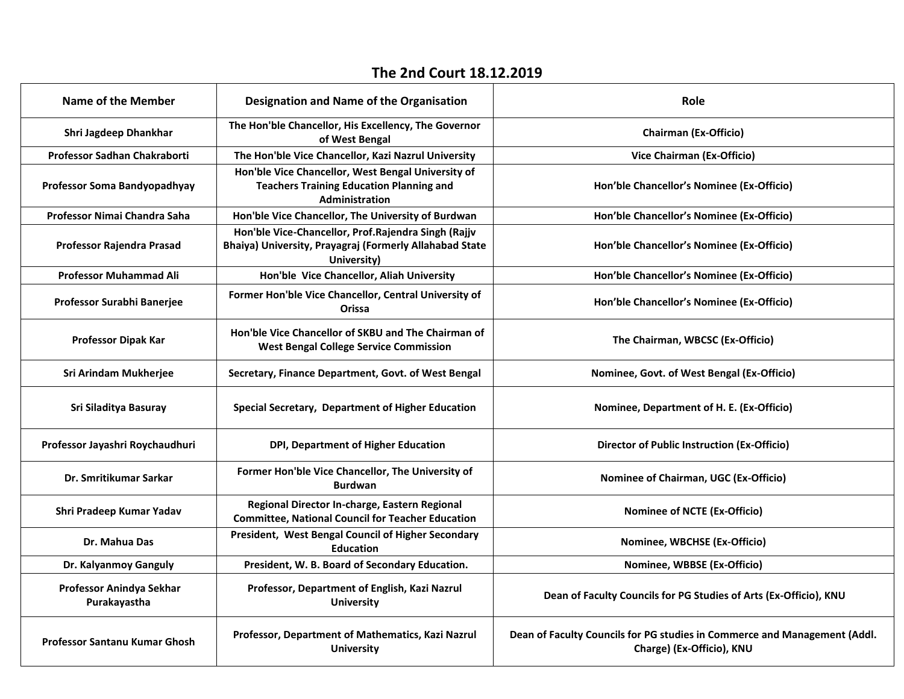## **The 2nd Court 18.12.2019**

| Name of the Member                       | <b>Designation and Name of the Organisation</b>                                                                               | Role                                                                                                   |
|------------------------------------------|-------------------------------------------------------------------------------------------------------------------------------|--------------------------------------------------------------------------------------------------------|
| Shri Jagdeep Dhankhar                    | The Hon'ble Chancellor, His Excellency, The Governor<br>of West Bengal                                                        | <b>Chairman (Ex-Officio)</b>                                                                           |
| Professor Sadhan Chakraborti             | The Hon'ble Vice Chancellor, Kazi Nazrul University                                                                           | Vice Chairman (Ex-Officio)                                                                             |
| Professor Soma Bandyopadhyay             | Hon'ble Vice Chancellor, West Bengal University of<br><b>Teachers Training Education Planning and</b><br>Administration       | Hon'ble Chancellor's Nominee (Ex-Officio)                                                              |
| Professor Nimai Chandra Saha             | Hon'ble Vice Chancellor, The University of Burdwan                                                                            | Hon'ble Chancellor's Nominee (Ex-Officio)                                                              |
| Professor Rajendra Prasad                | Hon'ble Vice-Chancellor, Prof.Rajendra Singh (Rajjv<br>Bhaiya) University, Prayagraj (Formerly Allahabad State<br>University) | Hon'ble Chancellor's Nominee (Ex-Officio)                                                              |
| <b>Professor Muhammad Ali</b>            | Hon'ble Vice Chancellor, Aliah University                                                                                     | Hon'ble Chancellor's Nominee (Ex-Officio)                                                              |
| Professor Surabhi Banerjee               | Former Hon'ble Vice Chancellor, Central University of<br>Orissa                                                               | Hon'ble Chancellor's Nominee (Ex-Officio)                                                              |
| <b>Professor Dipak Kar</b>               | Hon'ble Vice Chancellor of SKBU and The Chairman of<br><b>West Bengal College Service Commission</b>                          | The Chairman, WBCSC (Ex-Officio)                                                                       |
| Sri Arindam Mukherjee                    | Secretary, Finance Department, Govt. of West Bengal                                                                           | Nominee, Govt. of West Bengal (Ex-Officio)                                                             |
| Sri Siladitya Basuray                    | Special Secretary, Department of Higher Education                                                                             | Nominee, Department of H. E. (Ex-Officio)                                                              |
| Professor Jayashri Roychaudhuri          | DPI, Department of Higher Education                                                                                           | <b>Director of Public Instruction (Ex-Officio)</b>                                                     |
| Dr. Smritikumar Sarkar                   | Former Hon'ble Vice Chancellor, The University of<br><b>Burdwan</b>                                                           | Nominee of Chairman, UGC (Ex-Officio)                                                                  |
| Shri Pradeep Kumar Yadav                 | Regional Director In-charge, Eastern Regional<br><b>Committee, National Council for Teacher Education</b>                     | <b>Nominee of NCTE (Ex-Officio)</b>                                                                    |
| Dr. Mahua Das                            | President, West Bengal Council of Higher Secondary<br><b>Education</b>                                                        | Nominee, WBCHSE (Ex-Officio)                                                                           |
| Dr. Kalyanmoy Ganguly                    | President, W. B. Board of Secondary Education.                                                                                | Nominee, WBBSE (Ex-Officio)                                                                            |
| Professor Anindya Sekhar<br>Purakayastha | Professor, Department of English, Kazi Nazrul<br><b>University</b>                                                            | Dean of Faculty Councils for PG Studies of Arts (Ex-Officio), KNU                                      |
| <b>Professor Santanu Kumar Ghosh</b>     | Professor, Department of Mathematics, Kazi Nazrul<br><b>University</b>                                                        | Dean of Faculty Councils for PG studies in Commerce and Management (Addl.<br>Charge) (Ex-Officio), KNU |